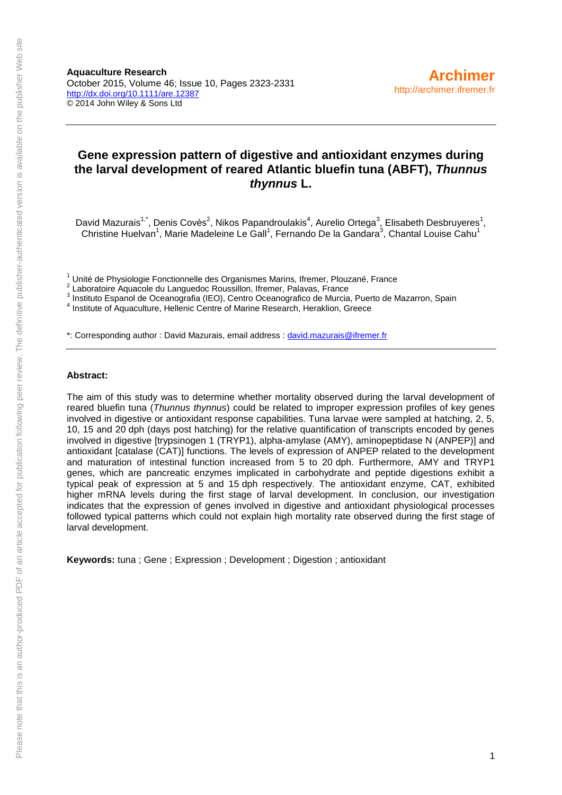**Aquaculture Research** October 2015, Volume 46; Issue 10, Pages 2323-2331 <http://dx.doi.org/10.1111/are.12387> © 2014 John Wiley & Sons Ltd

### **Gene expression pattern of digestive and antioxidant enzymes during the larval development of reared Atlantic bluefin tuna (ABFT),** *Thunnus thynnus* **L.**

David Mazurais<sup>1,\*</sup>, Denis Covès<sup>2</sup>, Nikos Papandroulakis<sup>4</sup>, Aurelio Ortega<sup>3</sup>, Elisabeth Desbruyeres<sup>1</sup>, Christine Huelvan<sup>1</sup>, Marie Madeleine Le Gall<sup>1</sup>, Fernando De la Gandara<sup>3</sup>, Chantal Louise Cahu<sup>1</sup>

 $1$  Unité de Physiologie Fonctionnelle des Organismes Marins, Ifremer, Plouzané, France

2 Laboratoire Aquacole du Languedoc Roussillon, Ifremer, Palavas, France

3 Instituto Espanol de Oceanografia (IEO), Centro Oceanografico de Murcia, Puerto de Mazarron, Spain

4 Institute of Aquaculture, Hellenic Centre of Marine Research, Heraklion, Greece

\*: Corresponding author : David Mazurais, email address : david.mazurais@ifremer.fr

#### **Abstract:**

The aim of this study was to determine whether mortality observed during the larval development of reared bluefin tuna (*Thunnus thynnus*) could be related to improper expression profiles of key genes involved in digestive or antioxidant response capabilities. Tuna larvae were sampled at hatching, 2, 5, 10, 15 and 20 dph (days post hatching) for the relative quantification of transcripts encoded by genes involved in digestive [trypsinogen 1 (TRYP1), alpha-amylase (AMY), aminopeptidase N (ANPEP)] and antioxidant [catalase (CAT)] functions. The levels of expression of ANPEP related to the development and maturation of intestinal function increased from 5 to 20 dph. Furthermore, AMY and TRYP1 genes, which are pancreatic enzymes implicated in carbohydrate and peptide digestions exhibit a typical peak of expression at 5 and 15 dph respectively. The antioxidant enzyme, CAT, exhibited higher mRNA levels during the first stage of larval development. In conclusion, our investigation indicates that the expression of genes involved in digestive and antioxidant physiological processes followed typical patterns which could not explain high mortality rate observed during the first stage of larval development.

**Keywords:** tuna ; Gene ; Expression ; Development ; Digestion ; antioxidant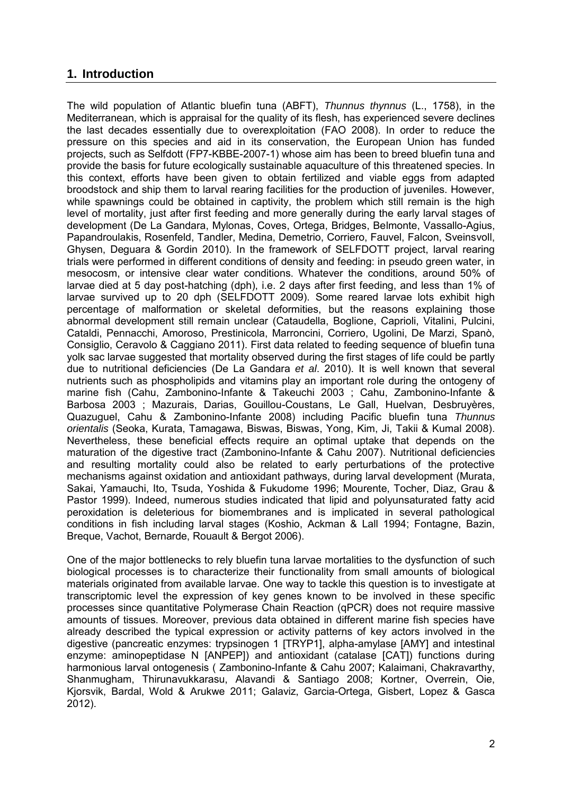# **1. Introduction**

The wild population of Atlantic bluefin tuna (ABFT), *Thunnus thynnus* (L., 1758), in the Mediterranean, which is appraisal for the quality of its flesh, has experienced severe declines the last decades essentially due to overexploitation (FAO 2008). In order to reduce the pressure on this species and aid in its conservation, the European Union has funded projects, such as Selfdott (FP7-KBBE-2007-1) whose aim has been to breed bluefin tuna and provide the basis for future ecologically sustainable aquaculture of this threatened species. In this context, efforts have been given to obtain fertilized and viable eggs from adapted broodstock and ship them to larval rearing facilities for the production of juveniles. However, while spawnings could be obtained in captivity, the problem which still remain is the high level of mortality, just after first feeding and more generally during the early larval stages of development (De La Gandara, Mylonas, Coves, Ortega, Bridges, Belmonte, Vassallo-Agius, Papandroulakis, Rosenfeld, Tandler, Medina, Demetrio, Corriero, Fauvel, Falcon, Sveinsvoll, Ghysen, Deguara & Gordin 2010). In the framework of SELFDOTT project, larval rearing trials were performed in different conditions of density and feeding: in pseudo green water, in mesocosm, or intensive clear water conditions. Whatever the conditions, around 50% of larvae died at 5 day post-hatching (dph), i.e. 2 days after first feeding, and less than 1% of larvae survived up to 20 dph (SELFDOTT 2009). Some reared larvae lots exhibit high percentage of malformation or skeletal deformities, but the reasons explaining those abnormal development still remain unclear (Cataudella, Boglione, Caprioli, Vitalini, Pulcini, Cataldi, Pennacchi, Amoroso, Prestinicola, Marroncini, Corriero, Ugolini, De Marzi, Spanò, Consiglio, Ceravolo & Caggiano 2011). First data related to feeding sequence of bluefin tuna yolk sac larvae suggested that mortality observed during the first stages of life could be partly due to nutritional deficiencies (De La Gandara *et al*. 2010). It is well known that several nutrients such as phospholipids and vitamins play an important role during the ontogeny of marine fish (Cahu, Zambonino-Infante & Takeuchi 2003 ; Cahu, Zambonino-Infante & Barbosa 2003 ; Mazurais, Darias, Gouillou-Coustans, Le Gall, Huelvan, Desbruyères, Quazuguel, Cahu & Zambonino-Infante 2008) including Pacific bluefin tuna *Thunnus orientalis* (Seoka, Kurata, Tamagawa, Biswas, Biswas, Yong, Kim, Ji, Takii & Kumal 2008). Nevertheless, these beneficial effects require an optimal uptake that depends on the maturation of the digestive tract (Zambonino-Infante & Cahu 2007). Nutritional deficiencies and resulting mortality could also be related to early perturbations of the protective mechanisms against oxidation and antioxidant pathways, during larval development (Murata, Sakai, Yamauchi, Ito, Tsuda, Yoshida & Fukudome 1996; Mourente, Tocher, Diaz, Grau & Pastor 1999). Indeed, numerous studies indicated that lipid and polyunsaturated fatty acid peroxidation is deleterious for biomembranes and is implicated in several pathological conditions in fish including larval stages (Koshio, Ackman & Lall 1994; Fontagne, Bazin, Breque, Vachot, Bernarde, Rouault & Bergot 2006).

One of the major bottlenecks to rely bluefin tuna larvae mortalities to the dysfunction of such biological processes is to characterize their functionality from small amounts of biological materials originated from available larvae. One way to tackle this question is to investigate at transcriptomic level the expression of key genes known to be involved in these specific processes since quantitative Polymerase Chain Reaction (qPCR) does not require massive amounts of tissues. Moreover, previous data obtained in different marine fish species have already described the typical expression or activity patterns of key actors involved in the digestive (pancreatic enzymes: trypsinogen 1 [TRYP1], alpha-amylase [AMY] and intestinal enzyme: aminopeptidase N [ANPEP]) and antioxidant (catalase [CAT]) functions during harmonious larval ontogenesis ( Zambonino-Infante & Cahu 2007; Kalaimani, Chakravarthy, Shanmugham, Thirunavukkarasu, Alavandi & Santiago 2008; Kortner, Overrein, Oie, Kjorsvik, Bardal, Wold & Arukwe 2011; Galaviz, Garcia-Ortega, Gisbert, Lopez & Gasca 2012).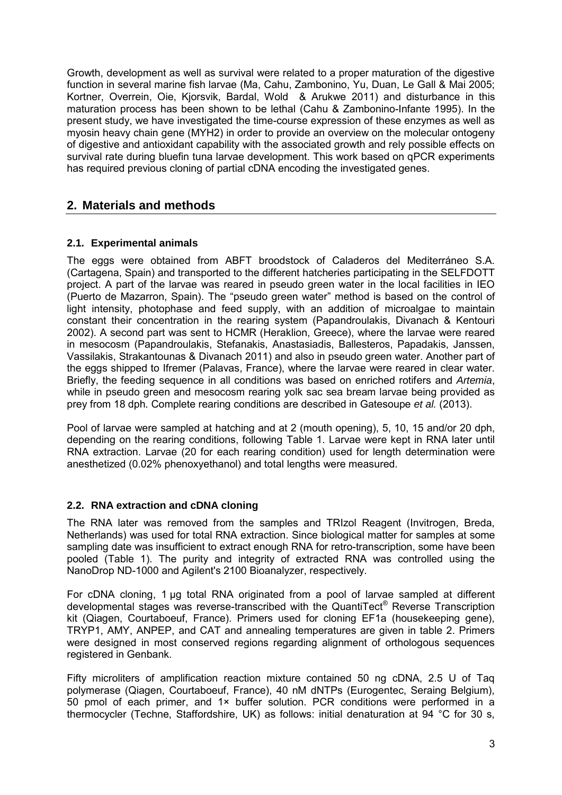Growth, development as well as survival were related to a proper maturation of the digestive function in several marine fish larvae (Ma, Cahu, Zambonino, Yu, Duan, Le Gall & Mai 2005; Kortner, Overrein, Oie, Kjorsvik, Bardal, Wold & Arukwe 2011) and disturbance in this maturation process has been shown to be lethal (Cahu & Zambonino-Infante 1995). In the present study, we have investigated the time-course expression of these enzymes as well as myosin heavy chain gene (MYH2) in order to provide an overview on the molecular ontogeny of digestive and antioxidant capability with the associated growth and rely possible effects on survival rate during bluefin tuna larvae development. This work based on qPCR experiments has required previous cloning of partial cDNA encoding the investigated genes.

# **2. Materials and methods**

### **2.1. Experimental animals**

The eggs were obtained from ABFT broodstock of Caladeros del Mediterráneo S.A. (Cartagena, Spain) and transported to the different hatcheries participating in the SELFDOTT project. A part of the larvae was reared in pseudo green water in the local facilities in IEO (Puerto de Mazarron, Spain). The "pseudo green water" method is based on the control of light intensity, photophase and feed supply, with an addition of microalgae to maintain constant their concentration in the rearing system (Papandroulakis, Divanach & Kentouri 2002). A second part was sent to HCMR (Heraklion, Greece), where the larvae were reared in mesocosm (Papandroulakis, Stefanakis, Anastasiadis, Ballesteros, Papadakis, Janssen, Vassilakis, Strakantounas & Divanach 2011) and also in pseudo green water. Another part of the eggs shipped to Ifremer (Palavas, France), where the larvae were reared in clear water. Briefly, the feeding sequence in all conditions was based on enriched rotifers and *Artemia*, while in pseudo green and mesocosm rearing yolk sac sea bream larvae being provided as prey from 18 dph. Complete rearing conditions are described in Gatesoupe *et al.* (2013).

Pool of larvae were sampled at hatching and at 2 (mouth opening), 5, 10, 15 and/or 20 dph, depending on the rearing conditions, following Table 1. Larvae were kept in RNA later until RNA extraction. Larvae (20 for each rearing condition) used for length determination were anesthetized (0.02% phenoxyethanol) and total lengths were measured.

### **2.2. RNA extraction and cDNA cloning**

The RNA later was removed from the samples and TRIzol Reagent (Invitrogen, Breda, Netherlands) was used for total RNA extraction. Since biological matter for samples at some sampling date was insufficient to extract enough RNA for retro-transcription, some have been pooled (Table 1). The purity and integrity of extracted RNA was controlled using the NanoDrop ND-1000 and Agilent's 2100 Bioanalyzer, respectively.

For cDNA cloning, 1 µg total RNA originated from a pool of larvae sampled at different developmental stages was reverse-transcribed with the QuantiTect® Reverse Transcription kit (Qiagen, Courtaboeuf, France). Primers used for cloning EF1a (housekeeping gene), TRYP1, AMY, ANPEP, and CAT and annealing temperatures are given in table 2. Primers were designed in most conserved regions regarding alignment of orthologous sequences registered in Genbank.

Fifty microliters of amplification reaction mixture contained 50 ng cDNA, 2.5 U of Taq polymerase (Qiagen, Courtaboeuf, France), 40 nM dNTPs (Eurogentec, Seraing Belgium), 50 pmol of each primer, and 1× buffer solution. PCR conditions were performed in a thermocycler (Techne, Staffordshire, UK) as follows: initial denaturation at 94 °C for 30 s,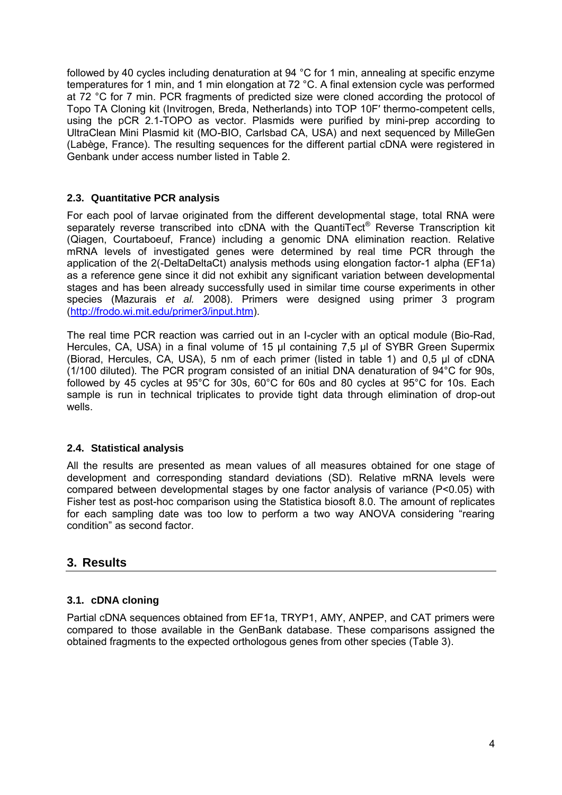followed by 40 cycles including denaturation at 94 °C for 1 min, annealing at specific enzyme temperatures for 1 min, and 1 min elongation at 72 °C. A final extension cycle was performed at 72 °C for 7 min. PCR fragments of predicted size were cloned according the protocol of Topo TA Cloning kit (Invitrogen, Breda, Netherlands) into TOP 10F′ thermo-competent cells, using the pCR 2.1-TOPO as vector. Plasmids were purified by mini-prep according to UltraClean Mini Plasmid kit (MO-BIO, Carlsbad CA, USA) and next sequenced by MilleGen (Labège, France). The resulting sequences for the different partial cDNA were registered in Genbank under access number listed in Table 2.

### **2.3. Quantitative PCR analysis**

For each pool of larvae originated from the different developmental stage, total RNA were separately reverse transcribed into cDNA with the QuantiTect<sup>®</sup> Reverse Transcription kit (Qiagen, Courtaboeuf, France) including a genomic DNA elimination reaction. Relative mRNA levels of investigated genes were determined by real time PCR through the application of the 2(-DeltaDeltaCt) analysis methods using elongation factor-1 alpha (EF1a) as a reference gene since it did not exhibit any significant variation between developmental stages and has been already successfully used in similar time course experiments in other species (Mazurais *et al.* 2008). Primers were designed using primer 3 program [\(http://frodo.wi.mit.edu/primer3/input.htm\)](http://frodo.wi.mit.edu/primer3/input.htm).

The real time PCR reaction was carried out in an I-cycler with an optical module (Bio-Rad, Hercules, CA, USA) in a final volume of 15 μl containing 7,5 μl of SYBR Green Supermix (Biorad, Hercules, CA, USA), 5 nm of each primer (listed in table 1) and 0,5 μl of cDNA (1/100 diluted). The PCR program consisted of an initial DNA denaturation of 94°C for 90s, followed by 45 cycles at 95°C for 30s, 60°C for 60s and 80 cycles at 95°C for 10s. Each sample is run in technical triplicates to provide tight data through elimination of drop-out wells.

#### **2.4. Statistical analysis**

All the results are presented as mean values of all measures obtained for one stage of development and corresponding standard deviations (SD). Relative mRNA levels were compared between developmental stages by one factor analysis of variance (P<0.05) with Fisher test as post-hoc comparison using the Statistica biosoft 8.0. The amount of replicates for each sampling date was too low to perform a two way ANOVA considering "rearing condition" as second factor.

# **3. Results**

#### **3.1. cDNA cloning**

Partial cDNA sequences obtained from EF1a, TRYP1, AMY, ANPEP, and CAT primers were compared to those available in the GenBank database. These comparisons assigned the obtained fragments to the expected orthologous genes from other species (Table 3).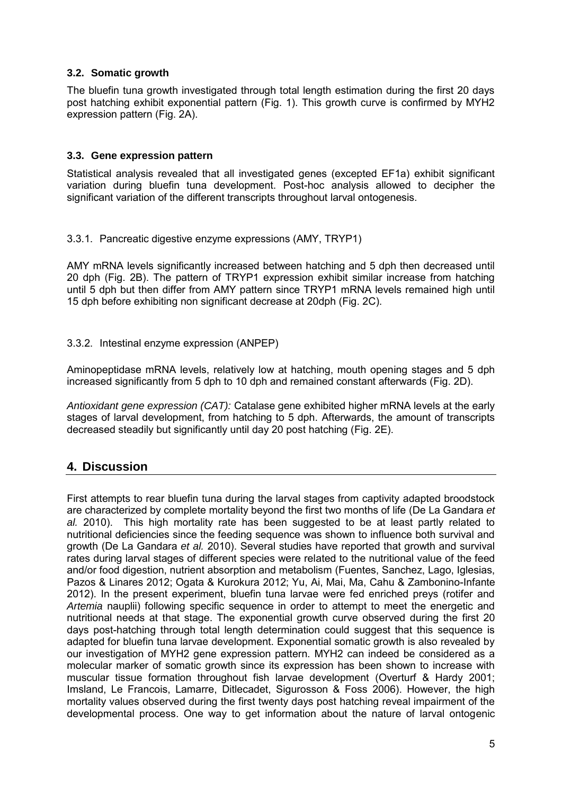### **3.2. Somatic growth**

The bluefin tuna growth investigated through total length estimation during the first 20 days post hatching exhibit exponential pattern (Fig. 1). This growth curve is confirmed by MYH2 expression pattern (Fig. 2A).

### **3.3. Gene expression pattern**

Statistical analysis revealed that all investigated genes (excepted EF1a) exhibit significant variation during bluefin tuna development. Post-hoc analysis allowed to decipher the significant variation of the different transcripts throughout larval ontogenesis.

#### 3.3.1. Pancreatic digestive enzyme expressions (AMY, TRYP1)

AMY mRNA levels significantly increased between hatching and 5 dph then decreased until 20 dph (Fig. 2B). The pattern of TRYP1 expression exhibit similar increase from hatching until 5 dph but then differ from AMY pattern since TRYP1 mRNA levels remained high until 15 dph before exhibiting non significant decrease at 20dph (Fig. 2C).

#### 3.3.2. Intestinal enzyme expression (ANPEP)

Aminopeptidase mRNA levels, relatively low at hatching, mouth opening stages and 5 dph increased significantly from 5 dph to 10 dph and remained constant afterwards (Fig. 2D).

*Antioxidant gene expression (CAT):* Catalase gene exhibited higher mRNA levels at the early stages of larval development, from hatching to 5 dph. Afterwards, the amount of transcripts decreased steadily but significantly until day 20 post hatching (Fig. 2E).

# **4. Discussion**

First attempts to rear bluefin tuna during the larval stages from captivity adapted broodstock are characterized by complete mortality beyond the first two months of life (De La Gandara *et al.* 2010). This high mortality rate has been suggested to be at least partly related to nutritional deficiencies since the feeding sequence was shown to influence both survival and growth (De La Gandara *et al.* 2010). Several studies have reported that growth and survival rates during larval stages of different species were related to the nutritional value of the feed and/or food digestion, nutrient absorption and metabolism (Fuentes, Sanchez, Lago, Iglesias, Pazos & Linares 2012; Ogata & Kurokura 2012; Yu, Ai, Mai, Ma, Cahu & Zambonino-Infante 2012). In the present experiment, bluefin tuna larvae were fed enriched preys (rotifer and *Artemia* nauplii) following specific sequence in order to attempt to meet the energetic and nutritional needs at that stage. The exponential growth curve observed during the first 20 days post-hatching through total length determination could suggest that this sequence is adapted for bluefin tuna larvae development. Exponential somatic growth is also revealed by our investigation of MYH2 gene expression pattern. MYH2 can indeed be considered as a molecular marker of somatic growth since its expression has been shown to increase with muscular tissue formation throughout fish larvae development (Overturf & Hardy 2001; Imsland, Le Francois, Lamarre, Ditlecadet, Sigurosson & Foss 2006). However, the high mortality values observed during the first twenty days post hatching reveal impairment of the developmental process. One way to get information about the nature of larval ontogenic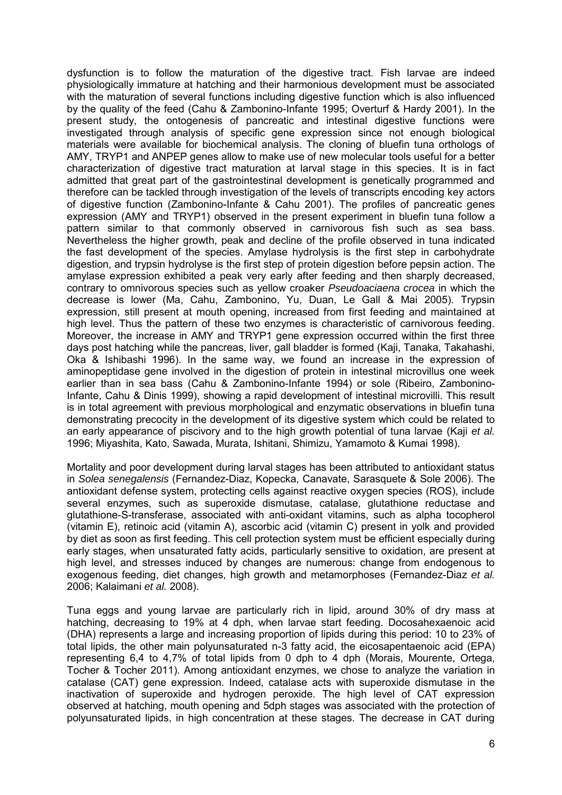dysfunction is to follow the maturation of the digestive tract. Fish larvae are indeed physiologically immature at hatching and their harmonious development must be associated with the maturation of several functions including digestive function which is also influenced by the quality of the feed (Cahu & Zambonino-Infante 1995; Overturf & Hardy 2001). In the present study, the ontogenesis of pancreatic and intestinal digestive functions were investigated through analysis of specific gene expression since not enough biological materials were available for biochemical analysis. The cloning of bluefin tuna orthologs of AMY, TRYP1 and ANPEP genes allow to make use of new molecular tools useful for a better characterization of digestive tract maturation at larval stage in this species. It is in fact admitted that great part of the gastrointestinal development is genetically programmed and therefore can be tackled through investigation of the levels of transcripts encoding key actors of digestive function (Zambonino-Infante & Cahu 2001). The profiles of pancreatic genes expression (AMY and TRYP1) observed in the present experiment in bluefin tuna follow a pattern similar to that commonly observed in carnivorous fish such as sea bass. Nevertheless the higher growth, peak and decline of the profile observed in tuna indicated the fast development of the species. Amylase hydrolysis is the first step in carbohydrate digestion, and trypsin hydrolyse is the first step of protein digestion before pepsin action. The amylase expression exhibited a peak very early after feeding and then sharply decreased, contrary to omnivorous species such as yellow croaker *Pseudoaciaena crocea* in which the decrease is lower (Ma, Cahu, Zambonino, Yu, Duan, Le Gall & Mai 2005). Trypsin expression, still present at mouth opening, increased from first feeding and maintained at high level. Thus the pattern of these two enzymes is characteristic of carnivorous feeding. Moreover, the increase in AMY and TRYP1 gene expression occurred within the first three days post hatching while the pancreas, liver, gall bladder is formed (Kaji, Tanaka, Takahashi, Oka & Ishibashi 1996). In the same way, we found an increase in the expression of aminopeptidase gene involved in the digestion of protein in intestinal microvillus one week earlier than in sea bass (Cahu & Zambonino-Infante 1994) or sole (Ribeiro, Zambonino-Infante, Cahu & Dinis 1999), showing a rapid development of intestinal microvilli. This result is in total agreement with previous morphological and enzymatic observations in bluefin tuna demonstrating precocity in the development of its digestive system which could be related to an early appearance of piscivory and to the high growth potential of tuna larvae (Kaji *et al.* 1996; Miyashita, Kato, Sawada, Murata, Ishitani, Shimizu, Yamamoto & Kumai 1998).

Mortality and poor development during larval stages has been attributed to antioxidant status in *Solea senegalensis* (Fernandez-Diaz, Kopecka, Canavate, Sarasquete & Sole 2006). The antioxidant defense system, protecting cells against reactive oxygen species (ROS), include several enzymes, such as superoxide dismutase, catalase, glutathione reductase and glutathione-S-transferase, associated with anti-oxidant vitamins, such as alpha tocopherol (vitamin E), retinoic acid (vitamin A), ascorbic acid (vitamin C) present in yolk and provided by diet as soon as first feeding. This cell protection system must be efficient especially during early stages, when unsaturated fatty acids, particularly sensitive to oxidation, are present at high level, and stresses induced by changes are numerous: change from endogenous to exogenous feeding, diet changes, high growth and metamorphoses (Fernandez-Diaz *et al.* 2006; Kalaimani *et al.* 2008).

Tuna eggs and young larvae are particularly rich in lipid, around 30% of dry mass at hatching, decreasing to 19% at 4 dph, when larvae start feeding. Docosahexaenoic acid (DHA) represents a large and increasing proportion of lipids during this period: 10 to 23% of total lipids, the other main polyunsaturated n-3 fatty acid, the eicosapentaenoic acid (EPA) representing 6,4 to 4,7% of total lipids from 0 dph to 4 dph (Morais, Mourente, Ortega, Tocher & Tocher 2011). Among antioxidant enzymes, we chose to analyze the variation in catalase (CAT) gene expression. Indeed, catalase acts with superoxide dismutase in the inactivation of superoxide and hydrogen peroxide. The high level of CAT expression observed at hatching, mouth opening and 5dph stages was associated with the protection of polyunsaturated lipids, in high concentration at these stages. The decrease in CAT during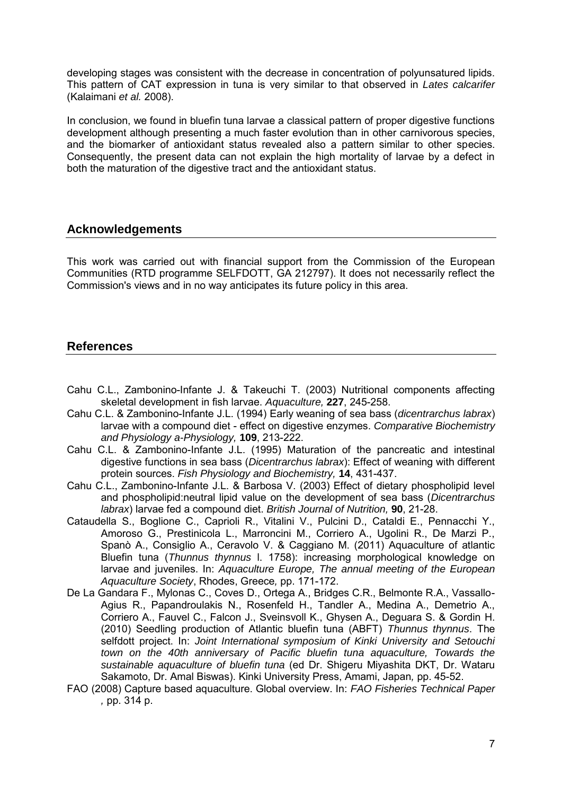developing stages was consistent with the decrease in concentration of polyunsatured lipids. This pattern of CAT expression in tuna is very similar to that observed in *Lates calcarifer* (Kalaimani *et al.* 2008).

In conclusion, we found in bluefin tuna larvae a classical pattern of proper digestive functions development although presenting a much faster evolution than in other carnivorous species, and the biomarker of antioxidant status revealed also a pattern similar to other species. Consequently, the present data can not explain the high mortality of larvae by a defect in both the maturation of the digestive tract and the antioxidant status.

### **Acknowledgements**

This work was carried out with financial support from the Commission of the European Communities (RTD programme SELFDOTT, GA 212797). It does not necessarily reflect the Commission's views and in no way anticipates its future policy in this area.

### **References**

- Cahu C.L., Zambonino-Infante J. & Takeuchi T. (2003) Nutritional components affecting skeletal development in fish larvae. *Aquaculture,* **227**, 245-258.
- Cahu C.L. & Zambonino-Infante J.L. (1994) Early weaning of sea bass (*dicentrarchus labrax*) larvae with a compound diet - effect on digestive enzymes. *Comparative Biochemistry and Physiology a-Physiology,* **109**, 213-222.
- Cahu C.L. & Zambonino-Infante J.L. (1995) Maturation of the pancreatic and intestinal digestive functions in sea bass (*Dicentrarchus labrax*): Effect of weaning with different protein sources. *Fish Physiology and Biochemistry,* **14**, 431-437.
- Cahu C.L., Zambonino-Infante J.L. & Barbosa V. (2003) Effect of dietary phospholipid level and phospholipid:neutral lipid value on the development of sea bass (*Dicentrarchus labrax*) larvae fed a compound diet. *British Journal of Nutrition,* **90**, 21-28.
- Cataudella S., Boglione C., Caprioli R., Vitalini V., Pulcini D., Cataldi E., Pennacchi Y., Amoroso G., Prestinicola L., Marroncini M., Corriero A., Ugolini R., De Marzi P., Spanò A., Consiglio A., Ceravolo V. & Caggiano M. (2011) Aquaculture of atlantic Bluefin tuna (*Thunnus thynnus* l. 1758): increasing morphological knowledge on larvae and juveniles. In: *Aquaculture Europe, The annual meeting of the European Aquaculture Society*, Rhodes, Greece*,* pp. 171-172.
- De La Gandara F., Mylonas C., Coves D., Ortega A., Bridges C.R., Belmonte R.A., Vassallo-Agius R., Papandroulakis N., Rosenfeld H., Tandler A., Medina A., Demetrio A., Corriero A., Fauvel C., Falcon J., Sveinsvoll K., Ghysen A., Deguara S. & Gordin H. (2010) Seedling production of Atlantic bluefin tuna (ABFT) *Thunnus thynnus*. The selfdott project. In: *Joint International symposium of Kinki University and Setouchi town on the 40th anniversary of Pacific bluefin tuna aquaculture, Towards the sustainable aquaculture of bluefin tuna* (ed Dr. Shigeru Miyashita DKT, Dr. Wataru Sakamoto, Dr. Amal Biswas). Kinki University Press, Amami, Japan*,* pp. 45-52.
- FAO (2008) Capture based aquaculture. Global overview. In: *FAO Fisheries Technical Paper ,* pp. 314 p.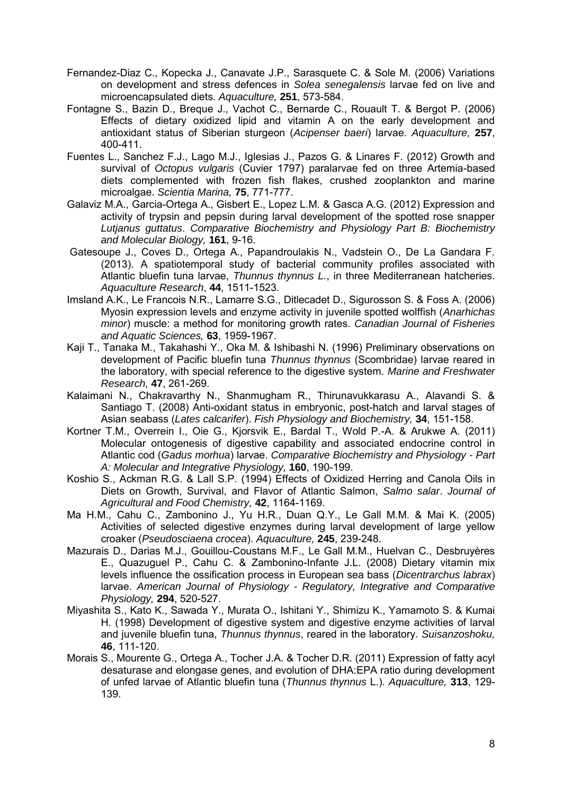- Fernandez-Diaz C., Kopecka J., Canavate J.P., Sarasquete C. & Sole M. (2006) Variations on development and stress defences in *Solea senegalensis* larvae fed on live and microencapsulated diets. *Aquaculture,* **251**, 573-584.
- Fontagne S., Bazin D., Breque J., Vachot C., Bernarde C., Rouault T. & Bergot P. (2006) Effects of dietary oxidized lipid and vitamin A on the early development and antioxidant status of Siberian sturgeon (*Acipenser baeri*) larvae. *Aquaculture,* **257**, 400-411.
- Fuentes L., Sanchez F.J., Lago M.J., Iglesias J., Pazos G. & Linares F. (2012) Growth and survival of *Octopus vulgaris* (Cuvier 1797) paralarvae fed on three Artemia-based diets complemented with frozen fish flakes, crushed zooplankton and marine microalgae. *Scientia Marina,* **75**, 771-777.
- Galaviz M.A., Garcia-Ortega A., Gisbert E., Lopez L.M. & Gasca A.G. (2012) Expression and activity of trypsin and pepsin during larval development of the spotted rose snapper *Lutjanus guttatus*. *Comparative Biochemistry and Physiology Part B: Biochemistry and Molecular Biology,* **161**, 9-16.
- Gatesoupe J., Coves D., Ortega A., Papandroulakis N., Vadstein O., De La Gandara F. (2013). A spatiotemporal study of bacterial community profiles associated with Atlantic bluefin tuna larvae, *Thunnus thynnus L.*, in three Mediterranean hatcheries. *Aquaculture Research*, **44**, 1511-1523.
- Imsland A.K., Le Francois N.R., Lamarre S.G., Ditlecadet D., Sigurosson S. & Foss A. (2006) Myosin expression levels and enzyme activity in juvenile spotted wolffish (*Anarhichas minor*) muscle: a method for monitoring growth rates. *Canadian Journal of Fisheries and Aquatic Sciences,* **63**, 1959-1967.
- Kaji T., Tanaka M., Takahashi Y., Oka M. & Ishibashi N. (1996) Preliminary observations on development of Pacific bluefin tuna *Thunnus thynnus* (Scombridae) larvae reared in the laboratory, with special reference to the digestive system. *Marine and Freshwater Research,* **47**, 261-269.
- Kalaimani N., Chakravarthy N., Shanmugham R., Thirunavukkarasu A., Alavandi S. & Santiago T. (2008) Anti-oxidant status in embryonic, post-hatch and larval stages of Asian seabass (*Lates calcarifer*). *Fish Physiology and Biochemistry,* **34**, 151-158.
- Kortner T.M., Overrein I., Oie G., Kjorsvik E., Bardal T., Wold P.-A. & Arukwe A. (2011) Molecular ontogenesis of digestive capability and associated endocrine control in Atlantic cod (*Gadus morhua*) larvae. *Comparative Biochemistry and Physiology - Part A: Molecular and Integrative Physiology,* **160**, 190-199.
- Koshio S., Ackman R.G. & Lall S.P. (1994) Effects of Oxidized Herring and Canola Oils in Diets on Growth, Survival, and Flavor of Atlantic Salmon, *Salmo salar*. *Journal of Agricultural and Food Chemistry,* **42**, 1164-1169.
- Ma H.M., Cahu C., Zambonino J., Yu H.R., Duan Q.Y., Le Gall M.M. & Mai K. (2005) Activities of selected digestive enzymes during larval development of large yellow croaker (*Pseudosciaena crocea*). *Aquaculture,* **245**, 239-248.
- Mazurais D., Darias M.J., Gouillou-Coustans M.F., Le Gall M.M., Huelvan C., Desbruyères E., Quazuguel P., Cahu C. & Zambonino-Infante J.L. (2008) Dietary vitamin mix levels influence the ossification process in European sea bass (*Dicentrarchus labrax*) larvae. *American Journal of Physiology - Regulatory, Integrative and Comparative Physiology,* **294**, 520-527.
- Miyashita S., Kato K., Sawada Y., Murata O., Ishitani Y., Shimizu K., Yamamoto S. & Kumai H. (1998) Development of digestive system and digestive enzyme activities of larval and juvenile bluefin tuna, *Thunnus thynnus*, reared in the laboratory. *Suisanzoshoku,*  **46**, 111-120.
- Morais S., Mourente G., Ortega A., Tocher J.A. & Tocher D.R. (2011) Expression of fatty acyl desaturase and elongase genes, and evolution of DHA:EPA ratio during development of unfed larvae of Atlantic bluefin tuna (*Thunnus thynnus* L.). *Aquaculture,* **313**, 129- 139.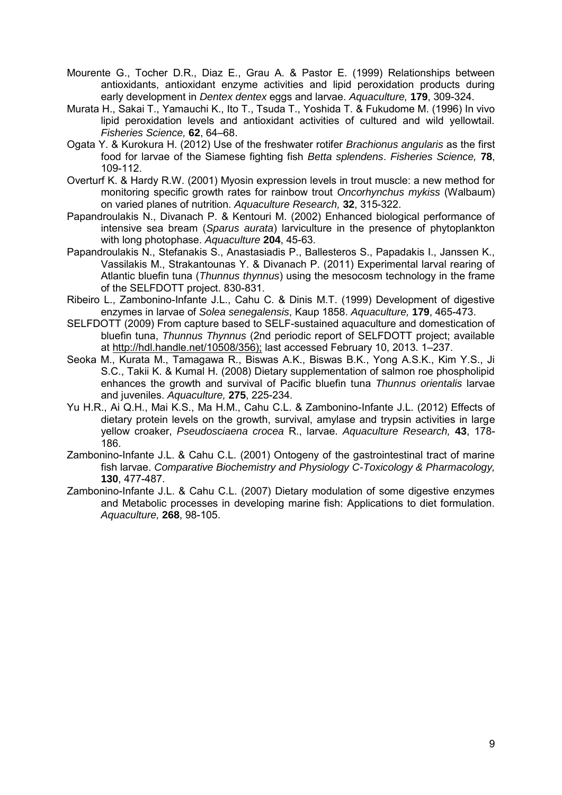- Mourente G., Tocher D.R., Diaz E., Grau A. & Pastor E. (1999) Relationships between antioxidants, antioxidant enzyme activities and lipid peroxidation products during early development in *Dentex dentex* eggs and larvae. *Aquaculture,* **179**, 309-324.
- Murata H., Sakai T., Yamauchi K., Ito T., Tsuda T., Yoshida T. & Fukudome M. (1996) In vivo lipid peroxidation levels and antioxidant activities of cultured and wild yellowtail. *Fisheries Science,* **62**, 64–68.
- Ogata Y. & Kurokura H. (2012) Use of the freshwater rotifer *Brachionus angularis* as the first food for larvae of the Siamese fighting fish *Betta splendens*. *Fisheries Science,* **78**, 109-112.
- Overturf K. & Hardy R.W. (2001) Myosin expression levels in trout muscle: a new method for monitoring specific growth rates for rainbow trout *Oncorhynchus mykiss* (Walbaum) on varied planes of nutrition. *Aquaculture Research,* **32**, 315-322.
- Papandroulakis N., Divanach P. & Kentouri M. (2002) Enhanced biological performance of intensive sea bream (*Sparus aurata*) larviculture in the presence of phytoplankton with long photophase. *Aquaculture* **204**, 45-63.
- Papandroulakis N., Stefanakis S., Anastasiadis P., Ballesteros S., Papadakis Ι., Janssen K., Vassilakis M., Strakantounas Y. & Divanach P. (2011) Experimental larval rearing of Atlantic bluefin tuna (*Thunnus thynnus*) using the mesocosm technology in the frame of the SELFDOTT project. 830-831.
- Ribeiro L., Zambonino-Infante J.L., Cahu C. & Dinis M.T. (1999) Development of digestive enzymes in larvae of *Solea senegalensis*, Kaup 1858. *Aquaculture,* **179**, 465-473.
- SELFDOTT (2009) From capture based to SELF-sustained aquaculture and domestication of bluefin tuna, *Thunnus Thynnus* (2nd periodic report of SELFDOTT project; available at [http://hdl.handle.net/10508/356\);](http://hdl.handle.net/10508/356);) last accessed February 10, 2013. 1–237.
- Seoka M., Kurata M., Tamagawa R., Biswas A.K., Biswas B.K., Yong A.S.K., Kim Y.S., Ji S.C., Takii K. & Kumal H. (2008) Dietary supplementation of salmon roe phospholipid enhances the growth and survival of Pacific bluefin tuna *Thunnus orientalis* larvae and juveniles. *Aquaculture,* **275**, 225-234.
- Yu H.R., Ai Q.H., Mai K.S., Ma H.M., Cahu C.L. & Zambonino-Infante J.L. (2012) Effects of dietary protein levels on the growth, survival, amylase and trypsin activities in large yellow croaker, *Pseudosciaena crocea* R., larvae. *Aquaculture Research,* **43**, 178- 186.
- Zambonino-Infante J.L. & Cahu C.L. (2001) Ontogeny of the gastrointestinal tract of marine fish larvae. *Comparative Biochemistry and Physiology C-Toxicology & Pharmacology,*  **130**, 477-487.
- Zambonino-Infante J.L. & Cahu C.L. (2007) Dietary modulation of some digestive enzymes and Metabolic processes in developing marine fish: Applications to diet formulation. *Aquaculture,* **268**, 98-105.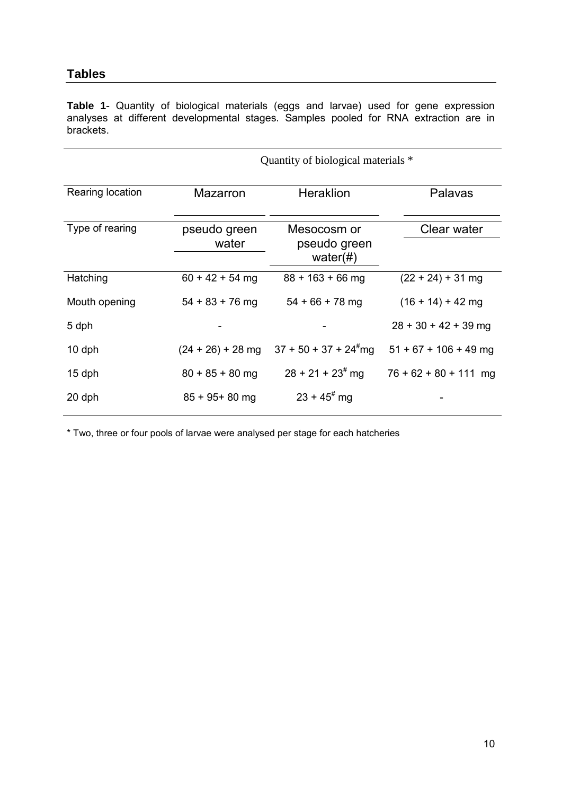# **Tables**

**Table 1**- Quantity of biological materials (eggs and larvae) used for gene expression analyses at different developmental stages. Samples pooled for RNA extraction are in brackets.

|                  | Quantity of biological materials * |                                             |                         |  |  |
|------------------|------------------------------------|---------------------------------------------|-------------------------|--|--|
| Rearing location | <b>Mazarron</b>                    | <b>Heraklion</b>                            | Palavas                 |  |  |
| Type of rearing  | pseudo green<br>water              | Mesocosm or<br>pseudo green<br>water $(\#)$ | Clear water             |  |  |
| Hatching         | $60 + 42 + 54$ mg                  | $88 + 163 + 66$ mg                          | $(22 + 24) + 31$ mg     |  |  |
| Mouth opening    | $54 + 83 + 76$ mg                  | $54 + 66 + 78$ mg                           | $(16 + 14) + 42$ mg     |  |  |
| 5 dph            |                                    |                                             | $28 + 30 + 42 + 39$ mg  |  |  |
| $10$ dph         | $(24 + 26) + 28$ mg                | $37 + 50 + 37 + 24$ <sup>#</sup> mg         | $51 + 67 + 106 + 49$ mg |  |  |
| $15$ dph         | $80 + 85 + 80$ mg                  | $28 + 21 + 23^{4}$ mg                       | $76 + 62 + 80 + 111$ mg |  |  |
| 20 dph           | $85 + 95 + 80$ mg                  | $23 + 45$ # mg                              |                         |  |  |

\* Two, three or four pools of larvae were analysed per stage for each hatcheries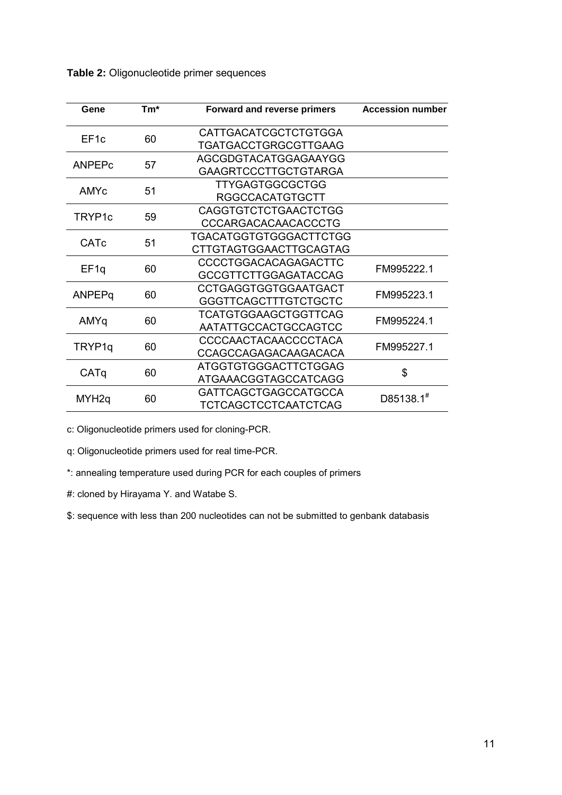| Gene              | Tm* | <b>Forward and reverse primers</b> | <b>Accession number</b> |  |
|-------------------|-----|------------------------------------|-------------------------|--|
| EF <sub>1</sub> c | 60  | <b>CATTGACATCGCTCTGTGGA</b>        |                         |  |
|                   |     | TGATGACCTGRGCGTTGAAG               |                         |  |
| ANPEPC            | 57  | AGCGDGTACATGGAGAAYGG               |                         |  |
|                   |     | <b>GAAGRTCCCTTGCTGTARGA</b>        |                         |  |
| AMYc              | 51  | <b>TTYGAGTGGCGCTGG</b>             |                         |  |
|                   |     | <b>RGGCCACATGTGCTT</b>             |                         |  |
| TRYP1c            |     | <b>CAGGTGTCTCTGAACTCTGG</b>        |                         |  |
|                   | 59  | CCCARGACACAACACCCTG                |                         |  |
| CATc              |     | <b>TGACATGGTGTGGGACTTCTGG</b>      |                         |  |
|                   | 51  | <b>CTTGTAGTGGAACTTGCAGTAG</b>      |                         |  |
| EF <sub>1q</sub>  | 60  | <b>CCCCTGGACACAGAGACTTC</b>        | FM995222.1              |  |
|                   |     | <b>GCCGTTCTTGGAGATACCAG</b>        |                         |  |
| ANPEPq            | 60  | <b>CCTGAGGTGGTGGAATGACT</b>        | FM995223.1              |  |
|                   |     | <b>GGGTTCAGCTTTGTCTGCTC</b>        |                         |  |
| AMYq              |     | TCATGTGGAAGCTGGTTCAG               |                         |  |
|                   | 60  | AATATTGCCACTGCCAGTCC               | FM995224.1              |  |
| TRYP1q            |     | CCCCAACTACAACCCCTACA               |                         |  |
|                   | 60  | CCAGCCAGAGACAAGACACA               | FM995227.1              |  |
| CATq              | 60  | <b>ATGGTGTGGGACTTCTGGAG</b>        | \$                      |  |
|                   |     | ATGAAACGGTAGCCATCAGG               |                         |  |
| MYH <sub>2q</sub> |     | <b>GATTCAGCTGAGCCATGCCA</b>        | D85138.1 <sup>#</sup>   |  |
|                   | 60  | TCTCAGCTCCTCAATCTCAG               |                         |  |
|                   |     |                                    |                         |  |

**Table 2:** Oligonucleotide primer sequences

c: Oligonucleotide primers used for cloning-PCR.

q: Oligonucleotide primers used for real time-PCR.

\*: annealing temperature used during PCR for each couples of primers

#: cloned by Hirayama Y. and Watabe S.

\$: sequence with less than 200 nucleotides can not be submitted to genbank databasis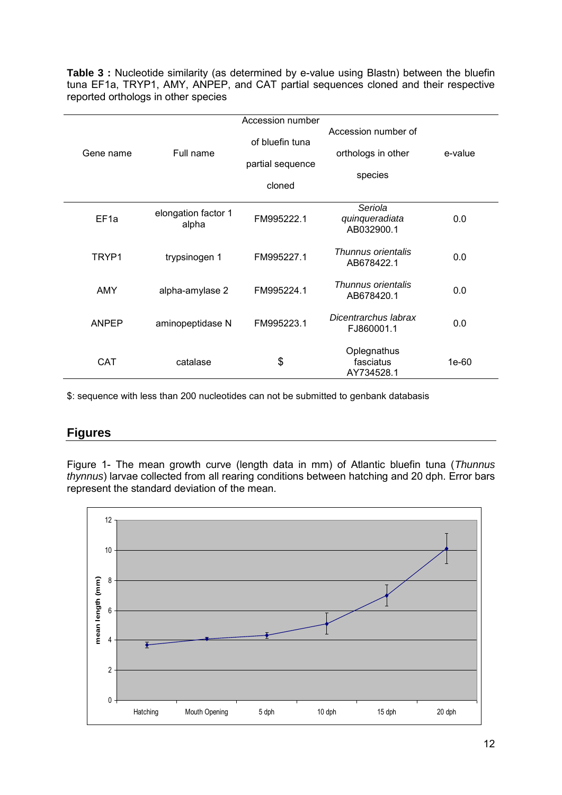**Table 3 :** Nucleotide similarity (as determined by e-value using Blastn) between the bluefin tuna EF1a, TRYP1, AMY, ANPEP, and CAT partial sequences cloned and their respective reported orthologs in other species

|                  |                     | Accession number |                                    |         |
|------------------|---------------------|------------------|------------------------------------|---------|
| Gene name        | Full name           | of bluefin tuna  | Accession number of                |         |
|                  |                     |                  | orthologs in other                 | e-value |
|                  |                     | partial sequence |                                    |         |
|                  |                     |                  | species                            |         |
|                  |                     | cloned           |                                    |         |
|                  |                     |                  | Seriola                            |         |
| EF <sub>1a</sub> | elongation factor 1 | FM995222.1       | quinqueradiata                     | 0.0     |
|                  | alpha               |                  | AB032900.1                         |         |
|                  |                     |                  |                                    |         |
| TRYP1            | trypsinogen 1       | FM995227.1       | Thunnus orientalis<br>AB678422.1   | 0.0     |
|                  |                     |                  |                                    |         |
|                  |                     |                  | Thunnus orientalis                 |         |
| <b>AMY</b>       | alpha-amylase 2     | FM995224.1       | AB678420.1                         | 0.0     |
|                  |                     |                  |                                    |         |
| <b>ANPEP</b>     | aminopeptidase N    | FM995223.1       | Dicentrarchus labrax<br>FJ860001.1 | 0.0     |
|                  |                     |                  |                                    |         |
|                  |                     |                  | Oplegnathus                        |         |
| <b>CAT</b>       | catalase            | \$               | fasciatus                          | 1e-60   |
|                  |                     |                  | AY734528.1                         |         |

\$: sequence with less than 200 nucleotides can not be submitted to genbank databasis

# **Figures**

Figure 1- The mean growth curve (length data in mm) of Atlantic bluefin tuna (*Thunnus thynnus*) larvae collected from all rearing conditions between hatching and 20 dph. Error bars represent the standard deviation of the mean.

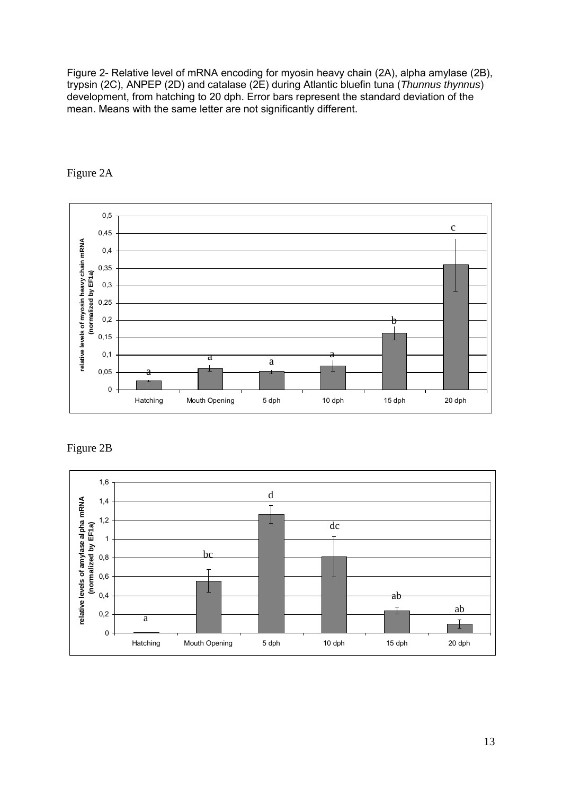Figure 2- Relative level of mRNA encoding for myosin heavy chain (2A), alpha amylase (2B), trypsin (2C), ANPEP (2D) and catalase (2E) during Atlantic bluefin tuna (*Thunnus thynnus*) development, from hatching to 20 dph. Error bars represent the standard deviation of the mean. Means with the same letter are not significantly different.



Figure 2A

Figure 2B

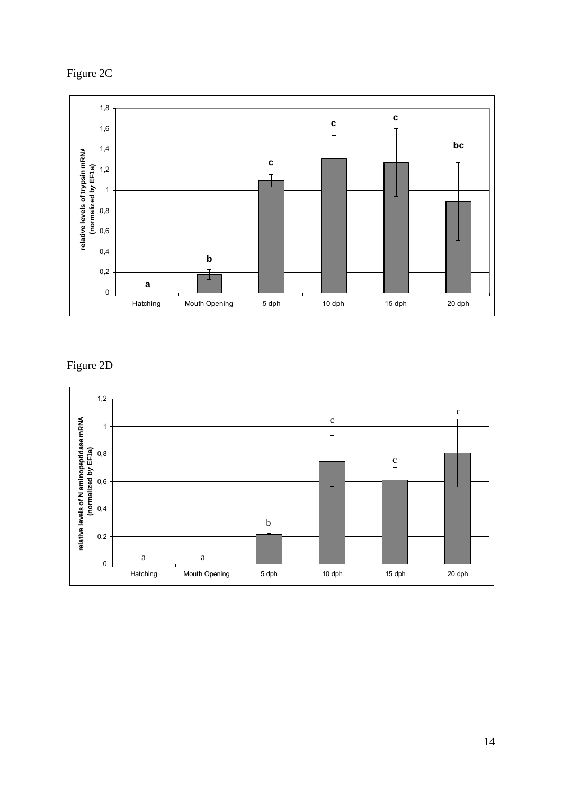



Figure 2D